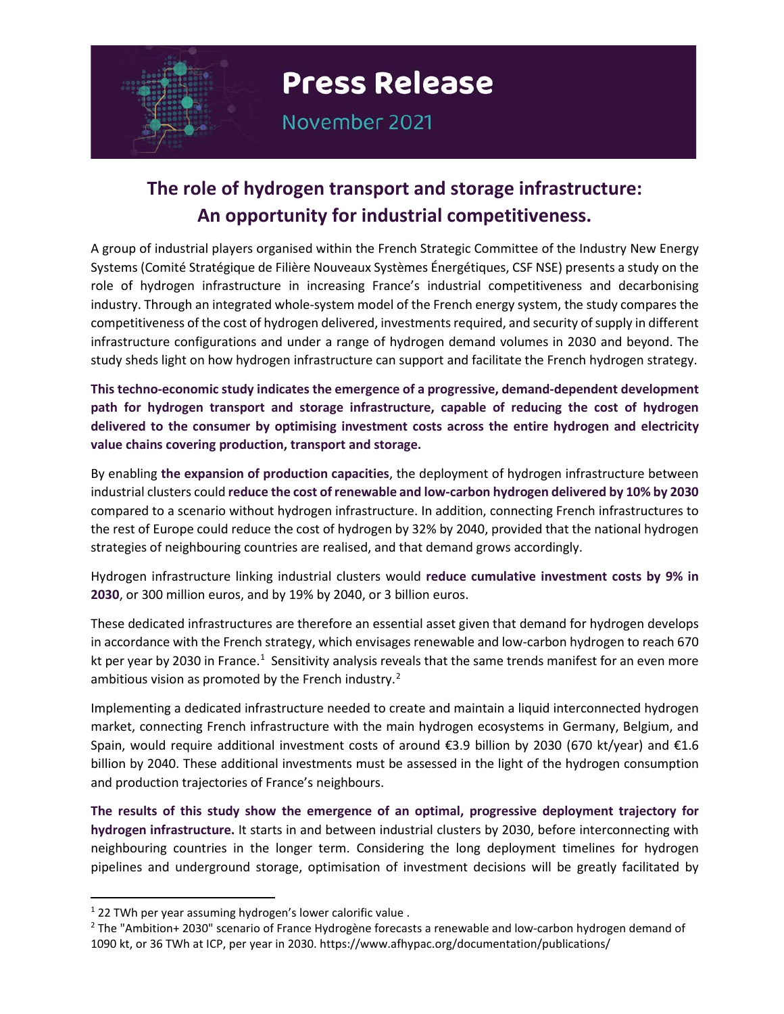

November 2021

# **The role of hydrogen transport and storage infrastructure: An opportunity for industrial competitiveness.**

A group of industrial players organised within the French Strategic Committee of the Industry New Energy Systems (Comité Stratégique de Filière Nouveaux Systèmes Énergétiques, CSF NSE) presents a study on the role of hydrogen infrastructure in increasing France's industrial competitiveness and decarbonising industry. Through an integrated whole-system model of the French energy system, the study compares the competitiveness of the cost of hydrogen delivered, investments required, and security of supply in different infrastructure configurations and under a range of hydrogen demand volumes in 2030 and beyond. The study sheds light on how hydrogen infrastructure can support and facilitate the French hydrogen strategy.

**This techno-economic study indicates the emergence of a progressive, demand-dependent development path for hydrogen transport and storage infrastructure, capable of reducing the cost of hydrogen delivered to the consumer by optimising investment costs across the entire hydrogen and electricity value chains covering production, transport and storage.**

By enabling **the expansion of production capacities**, the deployment of hydrogen infrastructure between industrial clusters could **reduce the cost of renewable and low-carbon hydrogen delivered by 10% by 2030**  compared to a scenario without hydrogen infrastructure. In addition, connecting French infrastructures to the rest of Europe could reduce the cost of hydrogen by 32% by 2040, provided that the national hydrogen strategies of neighbouring countries are realised, and that demand grows accordingly.

Hydrogen infrastructure linking industrial clusters would **reduce cumulative investment costs by 9% in 2030**, or 300 million euros, and by 19% by 2040, or 3 billion euros.

These dedicated infrastructures are therefore an essential asset given that demand for hydrogen develops in accordance with the French strategy, which envisages renewable and low-carbon hydrogen to reach 670 kt per year by 2030 in France.<sup>[1](#page-0-0)</sup> Sensitivity analysis reveals that the same trends manifest for an even more ambitious vision as promoted by the French industry.<sup>[2](#page-0-1)</sup>

Implementing a dedicated infrastructure needed to create and maintain a liquid interconnected hydrogen market, connecting French infrastructure with the main hydrogen ecosystems in Germany, Belgium, and Spain, would require additional investment costs of around €3.9 billion by 2030 (670 kt/year) and €1.6 billion by 2040. These additional investments must be assessed in the light of the hydrogen consumption and production trajectories of France's neighbours.

**The results of this study show the emergence of an optimal, progressive deployment trajectory for hydrogen infrastructure.** It starts in and between industrial clusters by 2030, before interconnecting with neighbouring countries in the longer term. Considering the long deployment timelines for hydrogen pipelines and underground storage, optimisation of investment decisions will be greatly facilitated by

<span id="page-0-0"></span> $1$  22 TWh per year assuming hydrogen's lower calorific value.

<span id="page-0-1"></span><sup>2</sup> The "Ambition+ 2030" scenario of France Hydrogène forecasts a renewable and low-carbon hydrogen demand of 1090 kt, or 36 TWh at ICP, per year in 2030. https://www.afhypac.org/documentation/publications/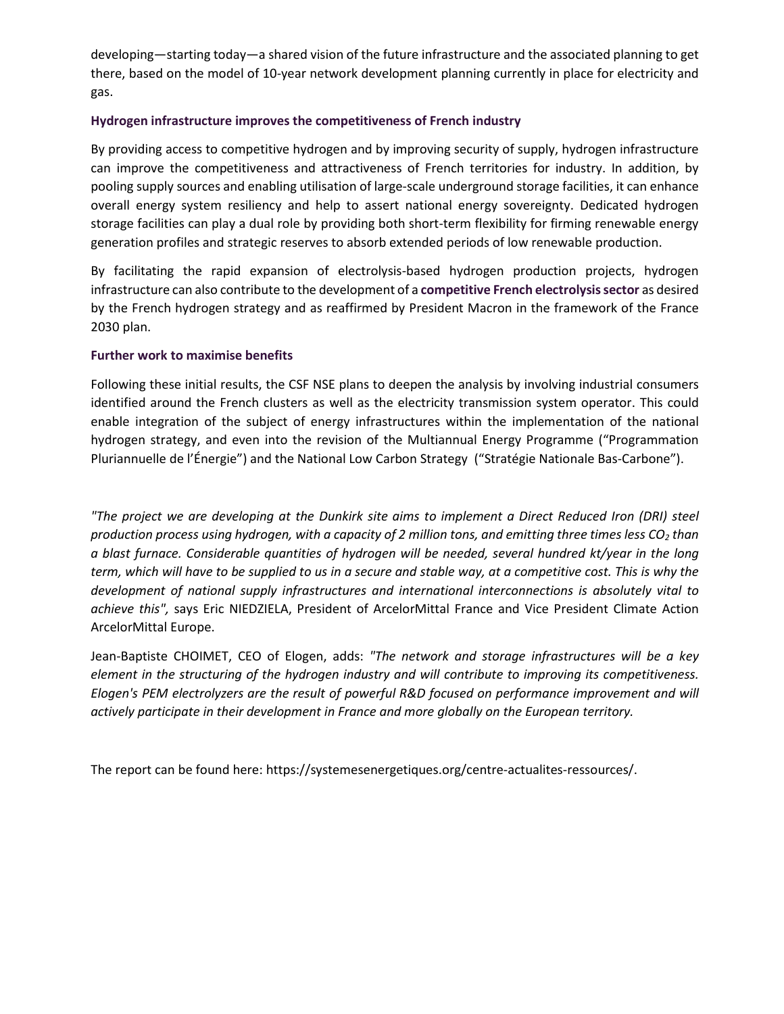developing—starting today—a shared vision of the future infrastructure and the associated planning to get there, based on the model of 10-year network development planning currently in place for electricity and gas.

#### **Hydrogen infrastructure improves the competitiveness of French industry**

By providing access to competitive hydrogen and by improving security of supply, hydrogen infrastructure can improve the competitiveness and attractiveness of French territories for industry. In addition, by pooling supply sources and enabling utilisation of large-scale underground storage facilities, it can enhance overall energy system resiliency and help to assert national energy sovereignty. Dedicated hydrogen storage facilities can play a dual role by providing both short-term flexibility for firming renewable energy generation profiles and strategic reserves to absorb extended periods of low renewable production.

By facilitating the rapid expansion of electrolysis-based hydrogen production projects, hydrogen infrastructure can also contribute to the development of a **competitive French electrolysis sector** as desired by the French hydrogen strategy and as reaffirmed by President Macron in the framework of the France 2030 plan.

#### **Further work to maximise benefits**

Following these initial results, the CSF NSE plans to deepen the analysis by involving industrial consumers identified around the French clusters as well as the electricity transmission system operator. This could enable integration of the subject of energy infrastructures within the implementation of the national hydrogen strategy, and even into the revision of the Multiannual Energy Programme ("Programmation Pluriannuelle de l'Énergie") and the National Low Carbon Strategy ("Stratégie Nationale Bas-Carbone").

*"The project we are developing at the Dunkirk site aims to implement a Direct Reduced Iron (DRI) steel production process using hydrogen, with a capacity of 2 million tons, and emitting three times less CO<sub>2</sub> than a blast furnace. Considerable quantities of hydrogen will be needed, several hundred kt/year in the long term, which will have to be supplied to us in a secure and stable way, at a competitive cost. This is why the development of national supply infrastructures and international interconnections is absolutely vital to achieve this",* says Eric NIEDZIELA, President of ArcelorMittal France and Vice President Climate Action ArcelorMittal Europe.

Jean-Baptiste CHOIMET, CEO of Elogen, adds: *"The network and storage infrastructures will be a key element in the structuring of the hydrogen industry and will contribute to improving its competitiveness. Elogen's PEM electrolyzers are the result of powerful R&D focused on performance improvement and will actively participate in their development in France and more globally on the European territory.*

The report can be found here: https://systemesenergetiques.org/centre-actualites-ressources/.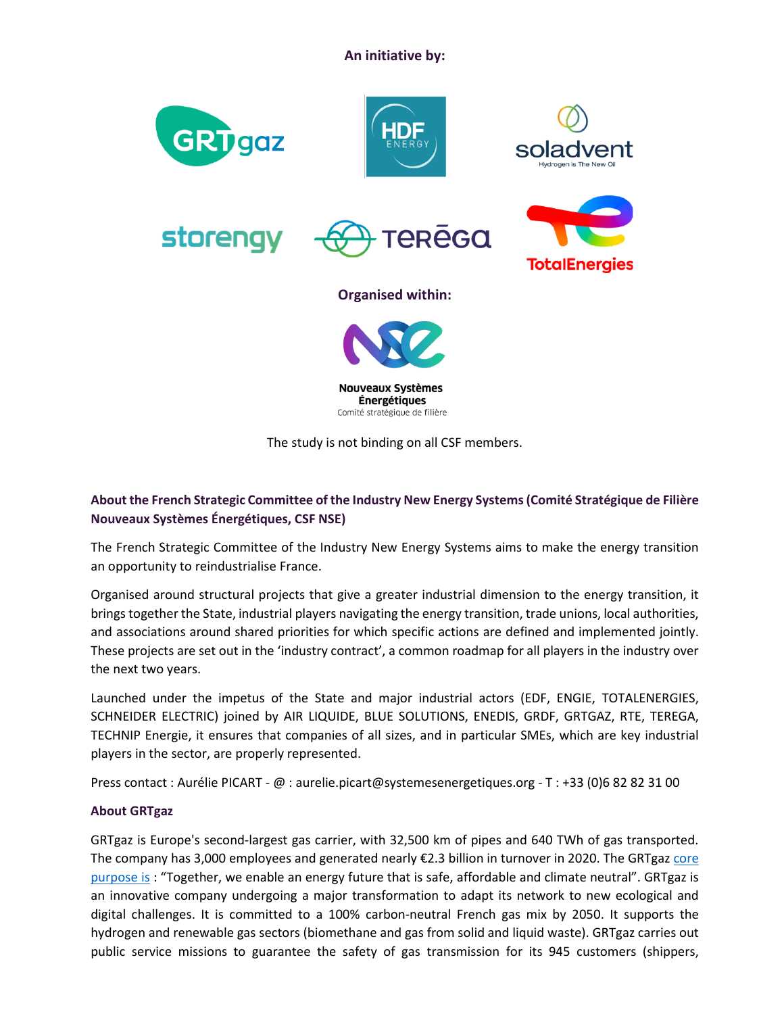**An initiative by:**



**Énergétiques** Comité stratégique de filière

The study is not binding on all CSF members.

# **About the French Strategic Committee of the Industry New Energy Systems (Comité Stratégique de Filière Nouveaux Systèmes Énergétiques, CSF NSE)**

The French Strategic Committee of the Industry New Energy Systems aims to make the energy transition an opportunity to reindustrialise France.

Organised around structural projects that give a greater industrial dimension to the energy transition, it brings together the State, industrial players navigating the energy transition, trade unions, local authorities, and associations around shared priorities for which specific actions are defined and implemented jointly. These projects are set out in the 'industry contract', a common roadmap for all players in the industry over the next two years.

Launched under the impetus of the State and major industrial actors (EDF, ENGIE, TOTALENERGIES, SCHNEIDER ELECTRIC) joined by AIR LIQUIDE, BLUE SOLUTIONS, ENEDIS, GRDF, GRTGAZ, RTE, TEREGA, TECHNIP Energie, it ensures that companies of all sizes, and in particular SMEs, which are key industrial players in the sector, are properly represented.

Press contact : Aurélie PICART - @ : aurelie.picart@systemesenergetiques.org - T : +33 (0)6 82 82 31 00

#### **About GRTgaz**

GRTgaz is Europe's second-largest gas carrier, with 32,500 km of pipes and 640 TWh of gas transported. The company has 3,000 employees and generated nearly €2.3 billion in turnover in 2020. The GRTgaz core [purpose is](https://www.youtube.com/watch?v=LrLJ1PyeviM) : "Together, we enable an energy future that is safe, affordable and climate neutral". GRTgaz is an innovative company undergoing a major transformation to adapt its network to new ecological and digital challenges. It is committed to a 100% carbon-neutral French gas mix by 2050. It supports the hydrogen and renewable gas sectors (biomethane and gas from solid and liquid waste). GRTgaz carries out public service missions to guarantee the safety of gas transmission for its 945 customers (shippers,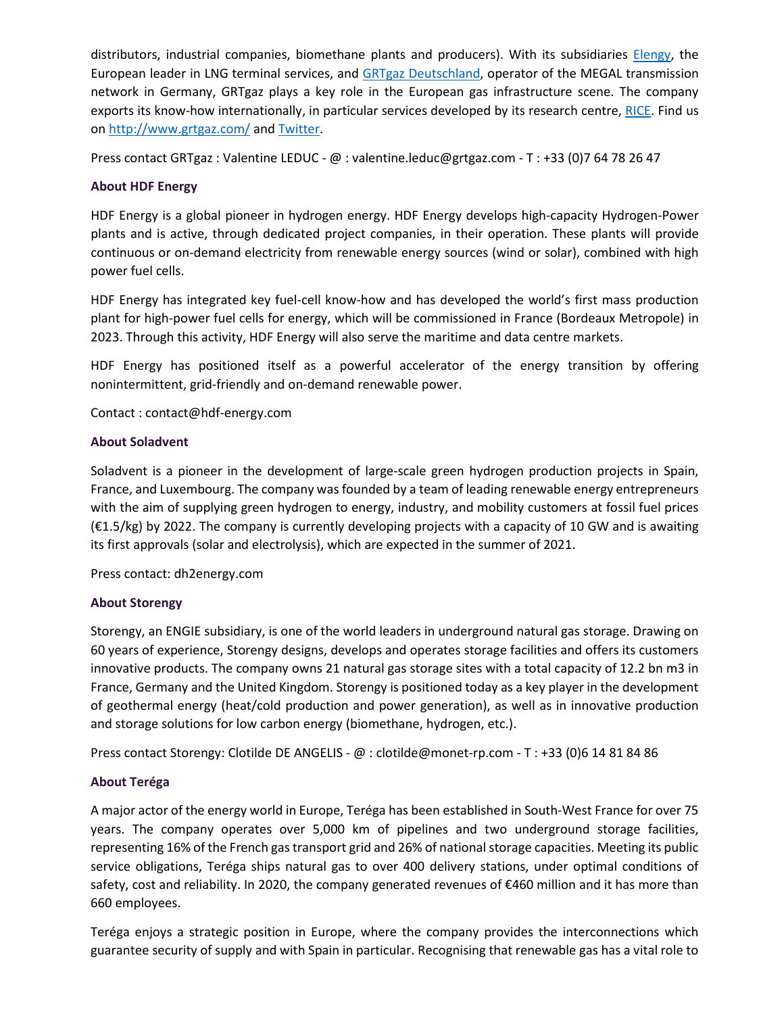distributors, industrial companies, biomethane plants and producers). With its subsidiaries [Elengy,](https://www.elengy.com/fr/) the European leader in LNG terminal services, and [GRTgaz Deutschland,](https://www.grtgaz-deutschland.de/) operator of the MEGAL transmission network in Germany, GRTgaz plays a key role in the European gas infrastructure scene. The company exports its know-how internationally, in particular services developed by its research centre, [RICE.](http://rice./) Find us on<http://www.grtgaz.com/> and [Twitter.](https://twitter.com/GRTgaz?ref_src=twsrc%5Egoogle%7Ctwcamp%5Eserp%7Ctwgr%5Eauthor)

Press contact GRTgaz : Valentine LEDUC - @ : valentine.leduc@grtgaz.com - T : +33 (0)7 64 78 26 47

## **About HDF Energy**

HDF Energy is a global pioneer in hydrogen energy. HDF Energy develops high-capacity Hydrogen-Power plants and is active, through dedicated project companies, in their operation. These plants will provide continuous or on-demand electricity from renewable energy sources (wind or solar), combined with high power fuel cells.

HDF Energy has integrated key fuel-cell know-how and has developed the world's first mass production plant for high-power fuel cells for energy, which will be commissioned in France (Bordeaux Metropole) in 2023. Through this activity, HDF Energy will also serve the maritime and data centre markets.

HDF Energy has positioned itself as a powerful accelerator of the energy transition by offering nonintermittent, grid-friendly and on-demand renewable power.

Contact : contact@hdf-energy.com

## **About Soladvent**

Soladvent is a pioneer in the development of large-scale green hydrogen production projects in Spain, France, and Luxembourg. The company was founded by a team of leading renewable energy entrepreneurs with the aim of supplying green hydrogen to energy, industry, and mobility customers at fossil fuel prices (€1.5/kg) by 2022. The company is currently developing projects with a capacity of 10 GW and is awaiting its first approvals (solar and electrolysis), which are expected in the summer of 2021.

Press contact: dh2energy.com

# **About Storengy**

Storengy, an ENGIE subsidiary, is one of the world leaders in underground natural gas storage. Drawing on 60 years of experience, Storengy designs, develops and operates storage facilities and offers its customers innovative products. The company owns 21 natural gas storage sites with a total capacity of 12.2 bn m3 in France, Germany and the United Kingdom. Storengy is positioned today as a key player in the development of geothermal energy (heat/cold production and power generation), as well as in innovative production and storage solutions for low carbon energy (biomethane, hydrogen, etc.).

Press contact Storengy: Clotilde DE ANGELIS - @ : clotilde@monet-rp.com - T : +33 (0)6 14 81 84 86

# **About Teréga**

A major actor of the energy world in Europe, Teréga has been established in South-West France for over 75 years. The company operates over 5,000 km of pipelines and two underground storage facilities, representing 16% of the French gas transport grid and 26% of national storage capacities. Meeting its public service obligations, Teréga ships natural gas to over 400 delivery stations, under optimal conditions of safety, cost and reliability. In 2020, the company generated revenues of €460 million and it has more than 660 employees.

Teréga enjoys a strategic position in Europe, where the company provides the interconnections which guarantee security of supply and with Spain in particular. Recognising that renewable gas has a vital role to